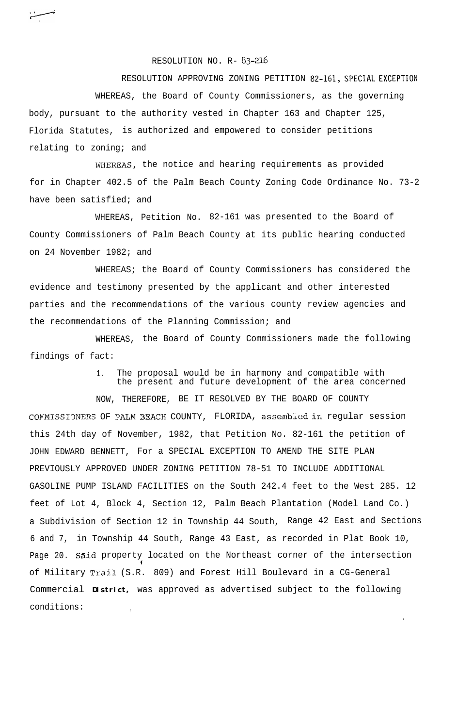RESOLUTION NO. R- 83-216

RESOLUTION APPROVING ZONING PETITION 82-161, **SPECIAL EXCEPTION** WHEREAS, the Board of County Commissioners, as the governing body, pursuant to the authority vested in Chapter 163 and Chapter 125, Florida Statutes, is authorized and empowered to consider petitions relating to zoning; and

WHEREAS, the notice and hearing requirements as provided for in Chapter 402.5 of the Palm Beach County Zoning Code Ordinance No. 73-2 have been satisfied; and

WHEREAS, Petition No. 82-161 was presented to the Board of County Commissioners of Palm Beach County at its public hearing conducted on 24 November 1982; and

WHEREAS; the Board of County Commissioners has considered the evidence and testimony presented by the applicant and other interested parties and the recommendations of the various county review agencies and the recommendations of the Planning Commission; and

WHEREAS, the Board of County Commissioners made the following findings of fact:

> The proposal would be in harmony and compatible with the present and future development of the area concerned

> > .

NOW, THEREFORE, BE IT RESOLVED BY THE BOARD OF COUNTY COMMISSIONERS OF PALM 3EACH COUNTY, FLORIDA, assembled in regular session this 24th day of November, 1982, that Petition No. 82-161 the petition of JOHN EDWARD BENNETT, For a SPECIAL EXCEPTION TO AMEND THE SITE PLAN PREVIOUSLY APPROVED UNDER ZONING PETITION 78-51 TO INCLUDE ADDITIONAL GASOLINE PUMP ISLAND FACILITIES on the South 242.4 feet to the West 285. 12 feet of Lot 4, Block 4, Section 12, Palm Beach Plantation (Model Land Co.) a Subdivision of Section 12 in Township 44 South, Range 42 East and Sections 6 and 7, in Township 44 South, Range 43 East, as recorded in Plat Book 10, Page 20. Said property located on the Northeast corner of the intersection f of Military Trail. (S.R. 809) and Forest Hill Boulevard in a CG-General Commercial **District,** was approved as advertised subject to the following conditions: ,